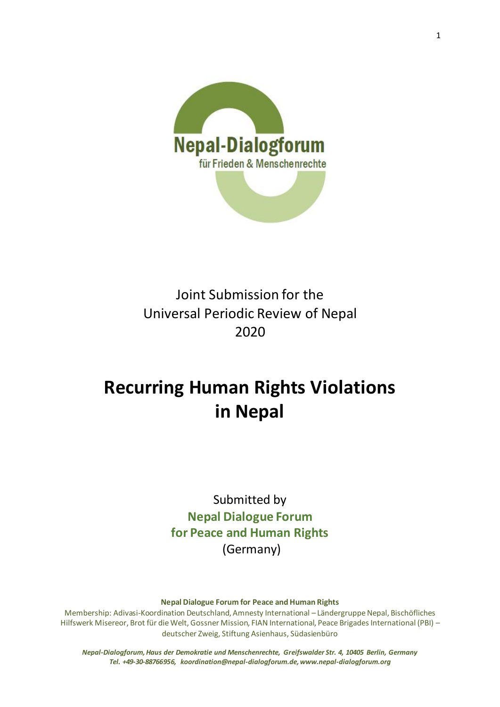

Joint Submission for the Universal Periodic Review of Nepal 2020

# **Recurring Human Rights Violations in Nepal**

Submitted by **Nepal Dialogue Forum for Peace and Human Rights** (Germany)

**Nepal Dialogue Forum for Peace and Human Rights**

Membership: Adivasi-Koordination Deutschland, Amnesty International – Ländergruppe Nepal, Bischöfliches Hilfswerk Misereor, Brot für die Welt, Gossner Mission, FIAN International, Peace Brigades International (PBI) – deutscher Zweig, Stiftung Asienhaus, Südasienbüro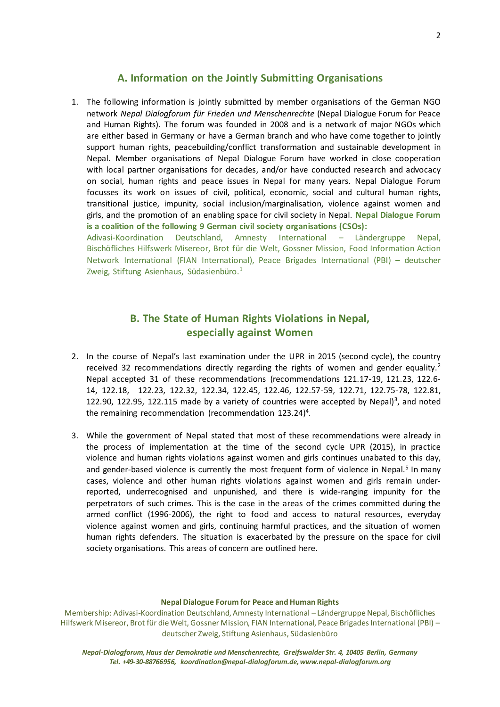### **A. Information on the Jointly Submitting Organisations**

1. The following information is jointly submitted by member organisations of the German NGO network *Nepal Dialogforum für Frieden und Menschenrechte* (Nepal Dialogue Forum for Peace and Human Rights). The forum was founded in 2008 and is a network of major NGOs which are either based in Germany or have a German branch and who have come together to jointly support human rights, peacebuilding/conflict transformation and sustainable development in Nepal. Member organisations of Nepal Dialogue Forum have worked in close cooperation with local partner organisations for decades, and/or have conducted research and advocacy on social, human rights and peace issues in Nepal for many years. Nepal Dialogue Forum focusses its work on issues of civil, political, economic, social and cultural human rights, transitional justice, impunity, social inclusion/marginalisation, violence against women and girls, and the promotion of an enabling space for civil society in Nepal. **Nepal Dialogue Forum is a coalition of the following 9 German civil society organisations (CSOs):** 

Adivasi-Koordination Deutschland, Amnesty International – Ländergruppe Nepal, Bischöfliches Hilfswerk Misereor, Brot für die Welt, Gossner Mission, Food Information Action Network International (FIAN International), Peace Brigades International (PBI) – deutscher Zweig, Stiftung Asienhaus, Südasienbüro.<sup>1</sup>

## **B. The State of Human Rights Violations in Nepal, especially against Women**

- 2. In the course of Nepal's last examination under the UPR in 2015 (second cycle), the country received 32 recommendations directly regarding the rights of women and gender equality.<sup>2</sup> Nepal accepted 31 of these recommendations (recommendations 121.17-19, 121.23, 122.6- 14, 122.18, 122.23, 122.32, 122.34, 122.45, 122.46, 122.57-59, 122.71, 122.75-78, 122.81, 122.90, 122.95, 122.115 made by a variety of countries were accepted by Nepal) $^3$ , and noted the remaining recommendation (recommendation 123.24)<sup>4</sup>.
- 3. While the government of Nepal stated that most of these recommendations were already in the process of implementation at the time of the second cycle UPR (2015), in practice violence and human rights violations against women and girls continues unabated to this day, and gender-based violence is currently the most frequent form of violence in Nepal.<sup>5</sup> In many cases, violence and other human rights violations against women and girls remain underreported, underrecognised and unpunished, and there is wide-ranging impunity for the perpetrators of such crimes. This is the case in the areas of the crimes committed during the armed conflict (1996-2006), the right to food and access to natural resources, everyday violence against women and girls, continuing harmful practices, and the situation of women human rights defenders. The situation is exacerbated by the pressure on the space for civil society organisations. This areas of concern are outlined here.

### **Nepal Dialogue Forum for Peace and Human Rights**

Membership: Adivasi-Koordination Deutschland, Amnesty International – Ländergruppe Nepal, Bischöfliches Hilfswerk Misereor, Brot für die Welt, Gossner Mission, FIAN International, Peace Brigades International (PBI) – deutscher Zweig, Stiftung Asienhaus, Südasienbüro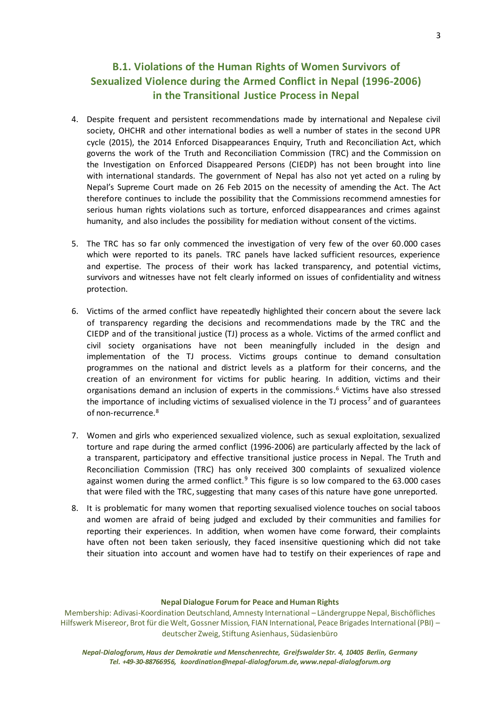# **B.1. Violations of the Human Rights of Women Survivors of Sexualized Violence during the Armed Conflict in Nepal (1996-2006) in the Transitional Justice Process in Nepal**

- 4. Despite frequent and persistent recommendations made by international and Nepalese civil society, OHCHR and other international bodies as well a number of states in the second UPR cycle (2015), the 2014 Enforced Disappearances Enquiry, Truth and Reconciliation Act, which governs the work of the Truth and Reconciliation Commission (TRC) and the Commission on the Investigation on Enforced Disappeared Persons (CIEDP) has not been brought into line with international standards. The government of Nepal has also not yet acted on a ruling by Nepal's Supreme Court made on 26 Feb 2015 on the necessity of amending the Act. The Act therefore continues to include the possibility that the Commissions recommend amnesties for serious human rights violations such as torture, enforced disappearances and crimes against humanity, and also includes the possibility for mediation without consent of the victims.
- 5. The TRC has so far only commenced the investigation of very few of the over 60.000 cases which were reported to its panels. TRC panels have lacked sufficient resources, experience and expertise. The process of their work has lacked transparency, and potential victims, survivors and witnesses have not felt clearly informed on issues of confidentiality and witness protection.
- 6. Victims of the armed conflict have repeatedly highlighted their concern about the severe lack of transparency regarding the decisions and recommendations made by the TRC and the CIEDP and of the transitional justice (TJ) process as a whole. Victims of the armed conflict and civil society organisations have not been meaningfully included in the design and implementation of the TJ process. Victims groups continue to demand consultation programmes on the national and district levels as a platform for their concerns, and the creation of an environment for victims for public hearing. In addition, victims and their organisations demand an inclusion of experts in the commissions. <sup>6</sup> Victims have also stressed the importance of including victims of sexualised violence in the TJ process<sup>7</sup> and of guarantees of non-recurrence.<sup>8</sup>
- 7. Women and girls who experienced sexualized violence, such as sexual exploitation, sexualized torture and rape during the armed conflict (1996-2006) are particularly affected by the lack of a transparent, participatory and effective transitional justice process in Nepal. The Truth and Reconciliation Commission (TRC) has only received 300 complaints of sexualized violence against women during the armed conflict. $9$  This figure is so low compared to the 63.000 cases that were filed with the TRC, suggesting that many cases of this nature have gone unreported.
- 8. It is problematic for many women that reporting sexualised violence touches on social taboos and women are afraid of being judged and excluded by their communities and families for reporting their experiences. In addition, when women have come forward, their complaints have often not been taken seriously, they faced insensitive questioning which did not take their situation into account and women have had to testify on their experiences of rape and

### **Nepal Dialogue Forum for Peace and Human Rights**

Membership: Adivasi-Koordination Deutschland, Amnesty International – Ländergruppe Nepal, Bischöfliches Hilfswerk Misereor, Brot für die Welt, Gossner Mission, FIAN International, Peace Brigades International (PBI) – deutscher Zweig, Stiftung Asienhaus, Südasienbüro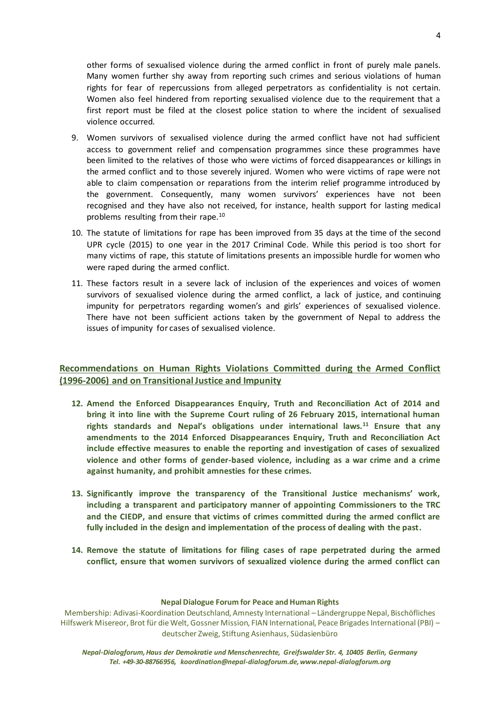other forms of sexualised violence during the armed conflict in front of purely male panels. Many women further shy away from reporting such crimes and serious violations of human rights for fear of repercussions from alleged perpetrators as confidentiality is not certain. Women also feel hindered from reporting sexualised violence due to the requirement that a first report must be filed at the closest police station to where the incident of sexualised violence occurred.

- 9. Women survivors of sexualised violence during the armed conflict have not had sufficient access to government relief and compensation programmes since these programmes have been limited to the relatives of those who were victims of forced disappearances or killings in the armed conflict and to those severely injured. Women who were victims of rape were not able to claim compensation or reparations from the interim relief programme introduced by the government. Consequently, many women survivors' experiences have not been recognised and they have also not received, for instance, health support for lasting medical problems resulting from their rape.<sup>10</sup>
- 10. The statute of limitations for rape has been improved from 35 days at the time of the second UPR cycle (2015) to one year in the 2017 Criminal Code. While this period is too short for many victims of rape, this statute of limitations presents an impossible hurdle for women who were raped during the armed conflict.
- 11. These factors result in a severe lack of inclusion of the experiences and voices of women survivors of sexualised violence during the armed conflict, a lack of justice, and continuing impunity for perpetrators regarding women's and girls' experiences of sexualised violence. There have not been sufficient actions taken by the government of Nepal to address the issues of impunity for cases of sexualised violence.

### **Recommendations on Human Rights Violations Committed during the Armed Conflict (1996-2006) and on Transitional Justice and Impunity**

- **12. Amend the Enforced Disappearances Enquiry, Truth and Reconciliation Act of 2014 and bring it into line with the Supreme Court ruling of 26 February 2015, international human rights standards and Nepal's obligations under international laws.<sup>11</sup> Ensure that any amendments to the 2014 Enforced Disappearances Enquiry, Truth and Reconciliation Act include effective measures to enable the reporting and investigation of cases of sexualized violence and other forms of gender-based violence, including as a war crime and a crime against humanity, and prohibit amnesties for these crimes.**
- **13. Significantly improve the transparency of the Transitional Justice mechanisms' work, including a transparent and participatory manner of appointing Commissioners to the TRC and the CIEDP, and ensure that victims of crimes committed during the armed conflict are fully included in the design and implementation of the process of dealing with the past.**
- **14. Remove the statute of limitations for filing cases of rape perpetrated during the armed conflict, ensure that women survivors of sexualized violence during the armed conflict can**

### **Nepal Dialogue Forum for Peace and Human Rights**

Membership: Adivasi-Koordination Deutschland, Amnesty International – Ländergruppe Nepal, Bischöfliches Hilfswerk Misereor, Brot für die Welt, Gossner Mission, FIAN International, Peace Brigades International (PBI) – deutscher Zweig, Stiftung Asienhaus, Südasienbüro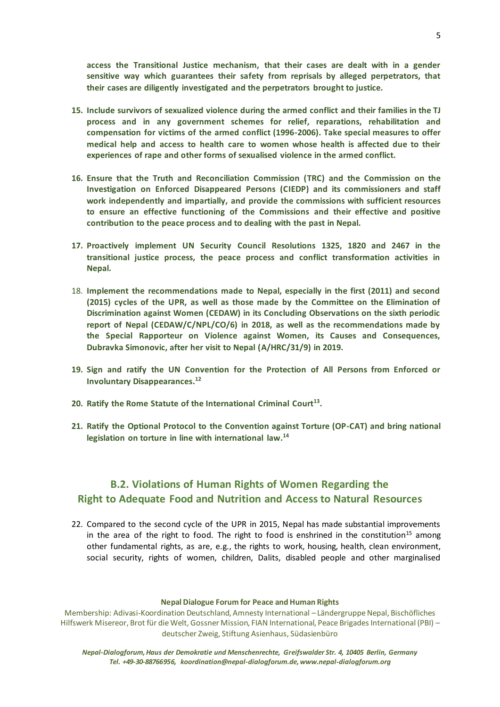**access the Transitional Justice mechanism, that their cases are dealt with in a gender sensitive way which guarantees their safety from reprisals by alleged perpetrators, that their cases are diligently investigated and the perpetrators brought to justice.**

- **15. Include survivors of sexualized violence during the armed conflict and their families in the TJ process and in any government schemes for relief, reparations, rehabilitation and compensation for victims of the armed conflict (1996-2006). Take special measures to offer medical help and access to health care to women whose health is affected due to their experiences of rape and other forms of sexualised violence in the armed conflict.**
- **16. Ensure that the Truth and Reconciliation Commission (TRC) and the Commission on the Investigation on Enforced Disappeared Persons (CIEDP) and its commissioners and staff work independently and impartially, and provide the commissions with sufficient resources to ensure an effective functioning of the Commissions and their effective and positive contribution to the peace process and to dealing with the past in Nepal.**
- **17. Proactively implement UN Security Council Resolutions 1325, 1820 and 2467 in the transitional justice process, the peace process and conflict transformation activities in Nepal.**
- 18. **Implement the recommendations made to Nepal, especially in the first (2011) and second (2015) cycles of the UPR, as well as those made by the Committee on the Elimination of Discrimination against Women (CEDAW) in its Concluding Observations on the sixth periodic report of Nepal (CEDAW/C/NPL/CO/6) in 2018, as well as the recommendations made by the Special Rapporteur on Violence against Women, its Causes and Consequences, Dubravka Simonovic, after her visit to Nepal (A/HRC/31/9) in 2019.**
- **19. Sign and ratify the UN Convention for the Protection of All Persons from Enforced or Involuntary Disappearances. 12**
- **20. Ratify the Rome Statute of the International Criminal Court<sup>13</sup> .**
- **21. Ratify the Optional Protocol to the Convention against Torture (OP-CAT) and bring national legislation on torture in line with international law. 14**

# **B.2. Violations of Human Rights of Women Regarding the Right to Adequate Food and Nutrition and Access to Natural Resources**

22. Compared to the second cycle of the UPR in 2015, Nepal has made substantial improvements in the area of the right to food. The right to food is enshrined in the constitution<sup>15</sup> among other fundamental rights, as are, e.g., the rights to work, housing, health, clean environment, social security, rights of women, children, Dalits, disabled people and other marginalised

### **Nepal Dialogue Forum for Peace and Human Rights**

Membership: Adivasi-Koordination Deutschland, Amnesty International – Ländergruppe Nepal, Bischöfliches Hilfswerk Misereor, Brot für die Welt, Gossner Mission, FIAN International, Peace Brigades International (PBI) – deutscher Zweig, Stiftung Asienhaus, Südasienbüro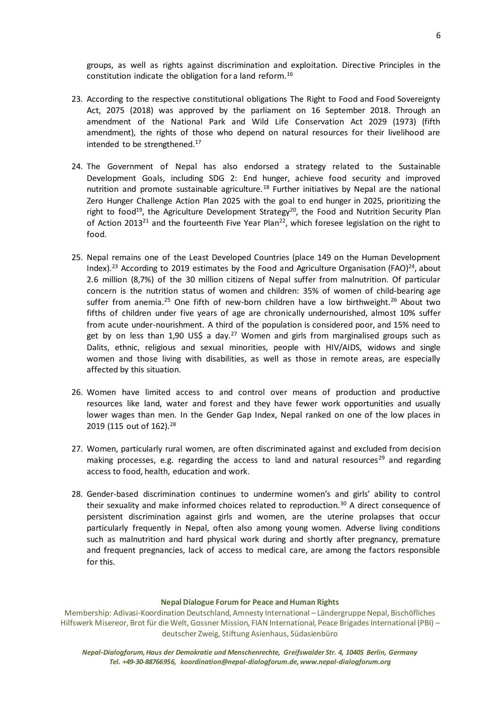groups, as well as rights against discrimination and exploitation. Directive Principles in the constitution indicate the obligation for a land reform.<sup>16</sup>

- 23. According to the respective constitutional obligations The Right to Food and Food Sovereignty Act, 2075 (2018) was approved by the parliament on 16 September 2018. Through an amendment of the National Park and Wild Life Conservation Act 2029 (1973) (fifth amendment), the rights of those who depend on natural resources for their livelihood are intended to be strengthened.<sup>17</sup>
- 24. The Government of Nepal has also endorsed a strategy related to the Sustainable Development Goals, including SDG 2: End hunger, achieve food security and improved nutrition and promote sustainable agriculture.<sup>18</sup> Further initiatives by Nepal are the national Zero Hunger Challenge Action Plan 2025 with the goal to end hunger in 2025, prioritizing the right to food<sup>19</sup>, the Agriculture Development Strategy<sup>20</sup>, the Food and Nutrition Security Plan of Action 2013<sup>21</sup> and the fourteenth Five Year Plan<sup>22</sup>, which foresee legislation on the right to food.
- 25. Nepal remains one of the Least Developed Countries (place 149 on the Human Development Index).<sup>23</sup> According to 2019 estimates by the Food and Agriculture Organisation (FAO)<sup>24</sup>, about 2.6 million (8,7%) of the 30 million citizens of Nepal suffer from malnutrition. Of particular concern is the nutrition status of women and children: 35% of women of child-bearing age suffer from anemia.<sup>25</sup> One fifth of new-born children have a low birthweight.<sup>26</sup> About two fifths of children under five years of age are chronically undernourished, almost 10% suffer from acute under-nourishment. A third of the population is considered poor, and 15% need to get by on less than 1,90 US\$ a day.<sup>27</sup> Women and girls from marginalised groups such as Dalits, ethnic, religious and sexual minorities, people with HIV/AIDS, widows and single women and those living with disabilities, as well as those in remote areas, are especially affected by this situation.
- 26. Women have limited access to and control over means of production and productive resources like land, water and forest and they have fewer work opportunities and usually lower wages than men. In the Gender Gap Index, Nepal ranked on one of the low places in 2019 (115 out of 162).<sup>28</sup>
- 27. Women, particularly rural women, are often discriminated against and excluded from decision making processes, e.g. regarding the access to land and natural resources<sup>29</sup> and regarding access to food, health, education and work.
- 28. Gender-based discrimination continues to undermine women's and girls' ability to control their sexuality and make informed choices related to reproduction.<sup>30</sup> A direct consequence of persistent discrimination against girls and women, are the uterine prolapses that occur particularly frequently in Nepal, often also among young women. Adverse living conditions such as malnutrition and hard physical work during and shortly after pregnancy, premature and frequent pregnancies, lack of access to medical care, are among the factors responsible for this.

#### **Nepal Dialogue Forum for Peace and Human Rights**

Membership: Adivasi-Koordination Deutschland, Amnesty International – Ländergruppe Nepal, Bischöfliches Hilfswerk Misereor, Brot für die Welt, Gossner Mission, FIAN International, Peace Brigades International (PBI) – deutscher Zweig, Stiftung Asienhaus, Südasienbüro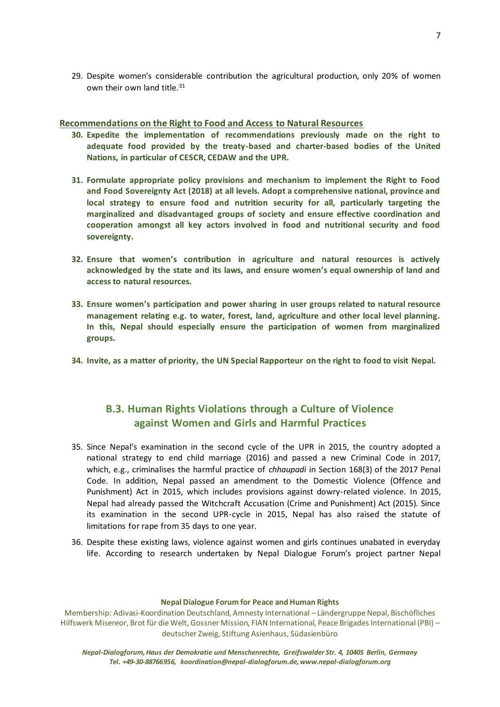29. Despite women's considerable contribution the agricultural production, only 20% of women own their own land title.<sup>31</sup>

### **Recommendations on the Right to Food and Access to Natural Resources**

- **30. Expedite the implementation of recommendations previously made on the right to adequate food provided by the treaty-based and charter-based bodies of the United Nations, in particular of CESCR, CEDAW and the UPR.**
- **31. Formulate appropriate policy provisions and mechanism to implement the Right to Food and Food Sovereignty Act (2018) at all levels. Adopt a comprehensive national, province and local strategy to ensure food and nutrition security for all, particularly targeting the marginalized and disadvantaged groups of society and ensure effective coordination and cooperation amongst all key actors involved in food and nutritional security and food sovereignty.**
- **32. Ensure that women's contribution in agriculture and natural resources is actively acknowledged by the state and its laws, and ensure women's equal ownership of land and access to natural resources.**
- **33. Ensure women's participation and power sharing in user groups related to natural resource management relating e.g. to water, forest, land, agriculture and other local level planning. In this, Nepal should especially ensure the participation of women from marginalized groups.**
- **34. Invite, as a matter of priority, the UN Special Rapporteur on the right to food to visit Nepal.**

# **B.3. Human Rights Violations through a Culture of Violence against Women and Girls and Harmful Practices**

- 35. Since Nepal's examination in the second cycle of the UPR in 2015, the country adopted a national strategy to end child marriage (2016) and passed a new Criminal Code in 2017, which, e.g., criminalises the harmful practice of *chhaupadi* in Section 168(3) of the 2017 Penal Code. In addition, Nepal passed an amendment to the Domestic Violence (Offence and Punishment) Act in 2015, which includes provisions against dowry-related violence. In 2015, Nepal had already passed the Witchcraft Accusation (Crime and Punishment) Act (2015). Since its examination in the second UPR-cycle in 2015, Nepal has also raised the statute of limitations for rape from 35 days to one year.
- 36. Despite these existing laws, violence against women and girls continues unabated in everyday life. According to research undertaken by Nepal Dialogue Forum's project partner Nepal

### **Nepal Dialogue Forum for Peace and Human Rights**

Membership: Adivasi-Koordination Deutschland, Amnesty International – Ländergruppe Nepal, Bischöfliches Hilfswerk Misereor, Brot für die Welt, Gossner Mission, FIAN International, Peace Brigades International (PBI) – deutscher Zweig, Stiftung Asienhaus, Südasienbüro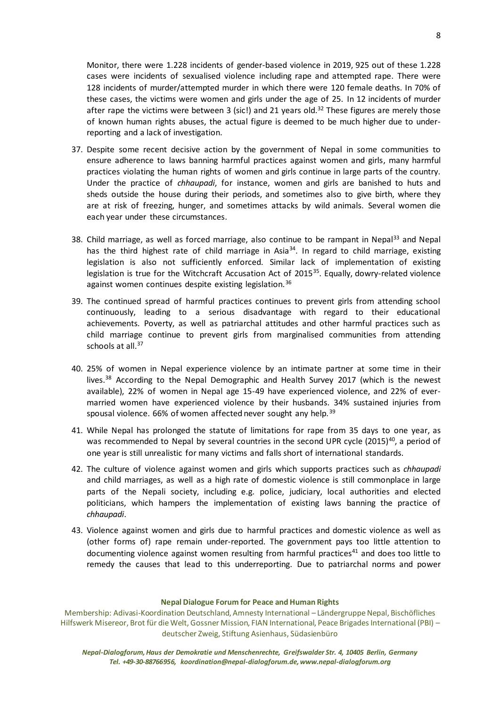Monitor, there were 1.228 incidents of gender-based violence in 2019, 925 out of these 1.228 cases were incidents of sexualised violence including rape and attempted rape. There were 128 incidents of murder/attempted murder in which there were 120 female deaths. In 70% of these cases, the victims were women and girls under the age of 25. In 12 incidents of murder after rape the victims were between 3 (sic!) and 21 years old.<sup>32</sup> These figures are merely those of known human rights abuses, the actual figure is deemed to be much higher due to underreporting and a lack of investigation.

- 37. Despite some recent decisive action by the government of Nepal in some communities to ensure adherence to laws banning harmful practices against women and girls, many harmful practices violating the human rights of women and girls continue in large parts of the country. Under the practice of *chhaupadi*, for instance, women and girls are banished to huts and sheds outside the house during their periods, and sometimes also to give birth, where they are at risk of freezing, hunger, and sometimes attacks by wild animals. Several women die each year under these circumstances.
- 38. Child marriage, as well as forced marriage, also continue to be rampant in Nepal<sup>33</sup> and Nepal has the third highest rate of child marriage in Asia<sup>34</sup>. In regard to child marriage, existing legislation is also not sufficiently enforced. Similar lack of implementation of existing legislation is true for the Witchcraft Accusation Act of 2015<sup>35</sup>. Equally, dowry-related violence against women continues despite existing legislation.<sup>36</sup>
- 39. The continued spread of harmful practices continues to prevent girls from attending school continuously, leading to a serious disadvantage with regard to their educational achievements. Poverty, as well as patriarchal attitudes and other harmful practices such as child marriage continue to prevent girls from marginalised communities from attending schools at all. 37
- 40. 25% of women in Nepal experience violence by an intimate partner at some time in their lives.<sup>38</sup> According to the Nepal Demographic and Health Survey 2017 (which is the newest available), 22% of women in Nepal age 15-49 have experienced violence, and 22% of evermarried women have experienced violence by their husbands. 34% sustained injuries from spousal violence. 66% of women affected never sought any help.<sup>39</sup>
- 41. While Nepal has prolonged the statute of limitations for rape from 35 days to one year, as was recommended to Nepal by several countries in the second UPR cycle (2015)<sup>40</sup>, a period of one year is still unrealistic for many victims and falls short of international standards.
- 42. The culture of violence against women and girls which supports practices such as *chhaupadi* and child marriages, as well as a high rate of domestic violence is still commonplace in large parts of the Nepali society, including e.g. police, judiciary, local authorities and elected politicians, which hampers the implementation of existing laws banning the practice of *chhaupadi*.
- 43. Violence against women and girls due to harmful practices and domestic violence as well as (other forms of) rape remain under-reported. The government pays too little attention to documenting violence against women resulting from harmful practices<sup>41</sup> and does too little to remedy the causes that lead to this underreporting. Due to patriarchal norms and power

### **Nepal Dialogue Forum for Peace and Human Rights**

Membership: Adivasi-Koordination Deutschland, Amnesty International – Ländergruppe Nepal, Bischöfliches Hilfswerk Misereor, Brot für die Welt, Gossner Mission, FIAN International, Peace Brigades International (PBI) – deutscher Zweig, Stiftung Asienhaus, Südasienbüro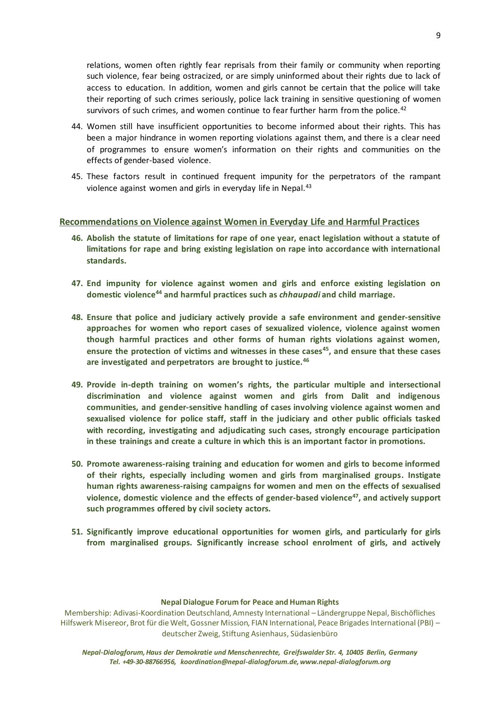relations, women often rightly fear reprisals from their family or community when reporting such violence, fear being ostracized, or are simply uninformed about their rights due to lack of access to education. In addition, women and girls cannot be certain that the police will take their reporting of such crimes seriously, police lack training in sensitive questioning of women survivors of such crimes, and women continue to fear further harm from the police. $42$ 

- 44. Women still have insufficient opportunities to become informed about their rights. This has been a major hindrance in women reporting violations against them, and there is a clear need of programmes to ensure women's information on their rights and communities on the effects of gender-based violence.
- 45. These factors result in continued frequent impunity for the perpetrators of the rampant violence against women and girls in everyday life in Nepal.<sup>43</sup>

### **Recommendations on Violence against Women in Everyday Life and Harmful Practices**

- **46. Abolish the statute of limitations for rape of one year, enact legislation without a statute of limitations for rape and bring existing legislation on rape into accordance with international standards.**
- **47. End impunity for violence against women and girls and enforce existing legislation on domestic violence<sup>44</sup> and harmful practices such as** *chhaupadi* **and child marriage.**
- **48. Ensure that police and judiciary actively provide a safe environment and gender-sensitive approaches for women who report cases of sexualized violence, violence against women though harmful practices and other forms of human rights violations against women, ensure the protection of victims and witnesses in these cases<sup>45</sup> , and ensure that these cases are investigated and perpetrators are brought to justice.<sup>46</sup>**
- **49. Provide in-depth training on women's rights, the particular multiple and intersectional discrimination and violence against women and girls from Dalit and indigenous communities, and gender-sensitive handling of cases involving violence against women and sexualised violence for police staff, staff in the judiciary and other public officials tasked with recording, investigating and adjudicating such cases, strongly encourage participation in these trainings and create a culture in which this is an important factor in promotions.**
- **50. Promote awareness-raising training and education for women and girls to become informed of their rights, especially including women and girls from marginalised groups. Instigate human rights awareness-raising campaigns for women and men on the effects of sexualised violence, domestic violence and the effects of gender-based violence<sup>47</sup> , and actively support such programmes offered by civil society actors.**
- **51. Significantly improve educational opportunities for women girls, and particularly for girls from marginalised groups. Significantly increase school enrolment of girls, and actively**

### **Nepal Dialogue Forum for Peace and Human Rights**

Membership: Adivasi-Koordination Deutschland, Amnesty International – Ländergruppe Nepal, Bischöfliches Hilfswerk Misereor, Brot für die Welt, Gossner Mission, FIAN International, Peace Brigades International (PBI) – deutscher Zweig, Stiftung Asienhaus, Südasienbüro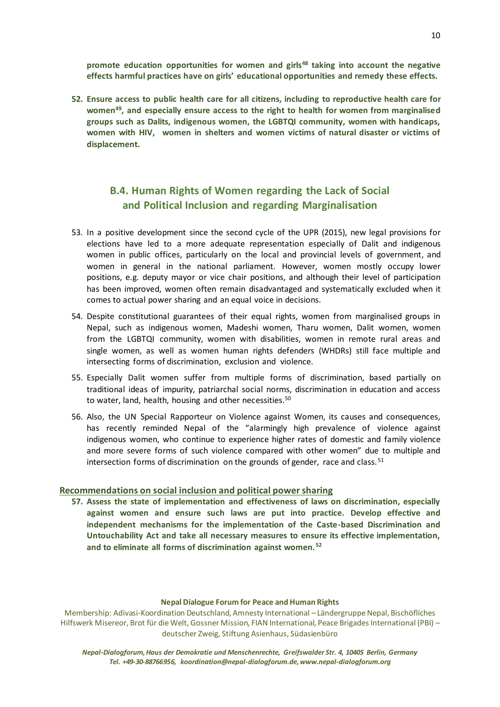**promote education opportunities for women and girls<sup>48</sup> taking into account the negative effects harmful practices have on girls' educational opportunities and remedy these effects.**

**52. Ensure access to public health care for all citizens, including to reproductive health care for women<sup>49</sup>, and especially ensure access to the right to health for women from marginalised groups such as Dalits, indigenous women, the LGBTQI community, women with handicaps, women with HIV, women in shelters and women victims of natural disaster or victims of displacement.**

# **B.4. Human Rights of Women regarding the Lack of Social and Political Inclusion and regarding Marginalisation**

- 53. In a positive development since the second cycle of the UPR (2015), new legal provisions for elections have led to a more adequate representation especially of Dalit and indigenous women in public offices, particularly on the local and provincial levels of government, and women in general in the national parliament. However, women mostly occupy lower positions, e.g. deputy mayor or vice chair positions, and although their level of participation has been improved, women often remain disadvantaged and systematically excluded when it comes to actual power sharing and an equal voice in decisions.
- 54. Despite constitutional guarantees of their equal rights, women from marginalised groups in Nepal, such as indigenous women, Madeshi women, Tharu women, Dalit women, women from the LGBTQI community, women with disabilities, women in remote rural areas and single women, as well as women human rights defenders (WHDRs) still face multiple and intersecting forms of discrimination, exclusion and violence.
- 55. Especially Dalit women suffer from multiple forms of discrimination, based partially on traditional ideas of impurity, patriarchal social norms, discrimination in education and access to water, land, health, housing and other necessities.<sup>50</sup>
- 56. Also, the UN Special Rapporteur on Violence against Women, its causes and consequences, has recently reminded Nepal of the "alarmingly high prevalence of violence against indigenous women, who continue to experience higher rates of domestic and family violence and more severe forms of such violence compared with other women" due to multiple and intersection forms of discrimination on the grounds of gender, race and class.<sup>51</sup>

### **Recommendations on social inclusion and political power sharing**

**57. Assess the state of implementation and effectiveness of laws on discrimination, especially against women and ensure such laws are put into practice. Develop effective and independent mechanisms for the implementation of the Caste-based Discrimination and Untouchability Act and take all necessary measures to ensure its effective implementation, and to eliminate all forms of discrimination against women.52**

### **Nepal Dialogue Forum for Peace and Human Rights**

Membership: Adivasi-Koordination Deutschland, Amnesty International – Ländergruppe Nepal, Bischöfliches Hilfswerk Misereor, Brot für die Welt, Gossner Mission, FIAN International, Peace Brigades International (PBI) – deutscher Zweig, Stiftung Asienhaus, Südasienbüro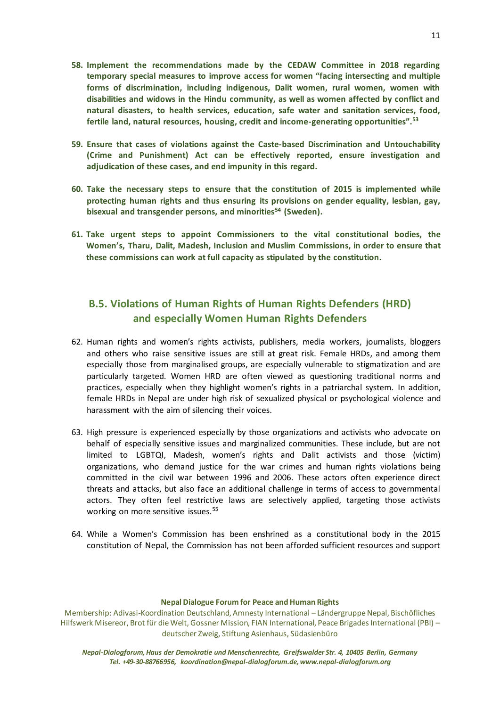- **58. Implement the recommendations made by the CEDAW Committee in 2018 regarding temporary special measures to improve access for women "facing intersecting and multiple forms of discrimination, including indigenous, Dalit women, rural women, women with disabilities and widows in the Hindu community, as well as women affected by conflict and natural disasters, to health services, education, safe water and sanitation services, food, fertile land, natural resources, housing, credit and income-generating opportunities".<sup>53</sup>**
- **59. Ensure that cases of violations against the Caste-based Discrimination and Untouchability (Crime and Punishment) Act can be effectively reported, ensure investigation and adjudication of these cases, and end impunity in this regard.**
- **60. Take the necessary steps to ensure that the constitution of 2015 is implemented while protecting human rights and thus ensuring its provisions on gender equality, lesbian, gay, bisexual and transgender persons, and minorities<sup>54</sup> (Sweden).**
- **61. Take urgent steps to appoint Commissioners to the vital constitutional bodies, the Women's, Tharu, Dalit, Madesh, Inclusion and Muslim Commissions, in order to ensure that these commissions can work at full capacity as stipulated by the constitution.**

# **B.5. Violations of Human Rights of Human Rights Defenders (HRD) and especially Women Human Rights Defenders**

- 62. Human rights and women's rights activists, publishers, media workers, journalists, bloggers and others who raise sensitive issues are still at great risk. Female HRDs, and among them especially those from marginalised groups, are especially vulnerable to stigmatization and are particularly targeted. Women HRD are often viewed as questioning traditional norms and practices, especially when they highlight women's rights in a patriarchal system. In addition, female HRDs in Nepal are under high risk of sexualized physical or psychological violence and harassment with the aim of silencing their voices.
- 63. High pressure is experienced especially by those organizations and activists who advocate on behalf of especially sensitive issues and marginalized communities. These include, but are not limited to LGBTQI, Madesh, women's rights and Dalit activists and those (victim) organizations, who demand justice for the war crimes and human rights violations being committed in the civil war between 1996 and 2006. These actors often experience direct threats and attacks, but also face an additional challenge in terms of access to governmental actors. They often feel restrictive laws are selectively applied, targeting those activists working on more sensitive issues.<sup>55</sup>
- 64. While a Women's Commission has been enshrined as a constitutional body in the 2015 constitution of Nepal, the Commission has not been afforded sufficient resources and support

### **Nepal Dialogue Forum for Peace and Human Rights**

Membership: Adivasi-Koordination Deutschland, Amnesty International – Ländergruppe Nepal, Bischöfliches Hilfswerk Misereor, Brot für die Welt, Gossner Mission, FIAN International, Peace Brigades International (PBI) – deutscher Zweig, Stiftung Asienhaus, Südasienbüro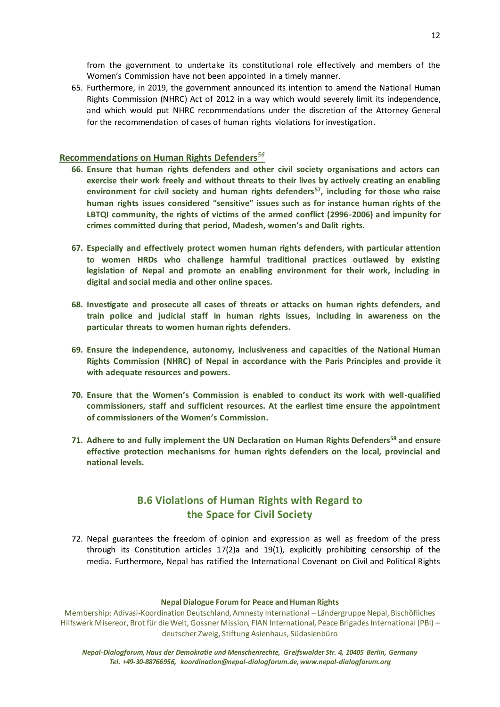from the government to undertake its constitutional role effectively and members of the Women's Commission have not been appointed in a timely manner.

65. Furthermore, in 2019, the government announced its intention to amend the National Human Rights Commission (NHRC) Act of 2012 in a way which would severely limit its independence, and which would put NHRC recommendations under the discretion of the Attorney General for the recommendation of cases of human rights violations for investigation.

### **Recommendations on Human Rights Defenders***<sup>56</sup>*

- **66. Ensure that human rights defenders and other civil society organisations and actors can exercise their work freely and without threats to their lives by actively creating an enabling environment for civil society and human rights defenders<sup>57</sup>, including for those who raise human rights issues considered "sensitive" issues such as for instance human rights of the LBTQI community, the rights of victims of the armed conflict (2996-2006) and impunity for crimes committed during that period, Madesh, women's and Dalit rights.**
- **67. Especially and effectively protect women human rights defenders, with particular attention to women HRDs who challenge harmful traditional practices outlawed by existing legislation of Nepal and promote an enabling environment for their work, including in digital and social media and other online spaces.**
- **68. Investigate and prosecute all cases of threats or attacks on human rights defenders, and train police and judicial staff in human rights issues, including in awareness on the particular threats to women human rights defenders.**
- **69. Ensure the independence, autonomy, inclusiveness and capacities of the National Human Rights Commission (NHRC) of Nepal in accordance with the Paris Principles and provide it with adequate resources and powers.**
- **70. Ensure that the Women's Commission is enabled to conduct its work with well-qualified commissioners, staff and sufficient resources. At the earliest time ensure the appointment of commissioners of the Women's Commission.**
- **71. Adhere to and fully implement the UN Declaration on Human Rights Defenders<sup>58</sup> and ensure effective protection mechanisms for human rights defenders on the local, provincial and national levels.**

## **B.6 Violations of Human Rights with Regard to the Space for Civil Society**

72. Nepal guarantees the freedom of opinion and expression as well as freedom of the press through its Constitution articles 17(2)a and 19(1), explicitly prohibiting censorship of the media. Furthermore, Nepal has ratified the International Covenant on Civil and Political Rights

### **Nepal Dialogue Forum for Peace and Human Rights**

Membership: Adivasi-Koordination Deutschland, Amnesty International – Ländergruppe Nepal, Bischöfliches Hilfswerk Misereor, Brot für die Welt, Gossner Mission, FIAN International, Peace Brigades International (PBI) – deutscher Zweig, Stiftung Asienhaus, Südasienbüro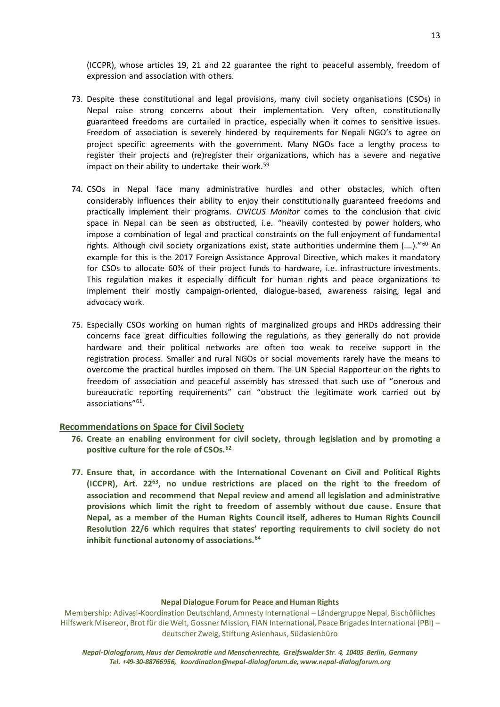(ICCPR), whose articles 19, 21 and 22 guarantee the right to peaceful assembly, freedom of expression and association with others.

- 73. Despite these constitutional and legal provisions, many civil society organisations (CSOs) in Nepal raise strong concerns about their implementation. Very often, constitutionally guaranteed freedoms are curtailed in practice, especially when it comes to sensitive issues. Freedom of association is severely hindered by requirements for Nepali NGO's to agree on project specific agreements with the government. Many NGOs face a lengthy process to register their projects and (re)register their organizations, which has a severe and negative impact on their ability to undertake their work.<sup>59</sup>
- 74. CSOs in Nepal face many administrative hurdles and other obstacles, which often considerably influences their ability to enjoy their constitutionally guaranteed freedoms and practically implement their programs. *CIVICUS Monitor* comes to the conclusion that civic space in Nepal can be seen as obstructed, i.e. "heavily contested by power holders, who impose a combination of legal and practical constraints on the full enjoyment of fundamental rights. Although civil society organizations exist, state authorities undermine them  $(...).$ <sup>"60</sup> An example for this is the 2017 Foreign Assistance Approval Directive, which makes it mandatory for CSOs to allocate 60% of their project funds to hardware, i.e. infrastructure investments. This regulation makes it especially difficult for human rights and peace organizations to implement their mostly campaign-oriented, dialogue-based, awareness raising, legal and advocacy work.
- 75. Especially CSOs working on human rights of marginalized groups and HRDs addressing their concerns face great difficulties following the regulations, as they generally do not provide hardware and their political networks are often too weak to receive support in the registration process. Smaller and rural NGOs or social movements rarely have the means to overcome the practical hurdles imposed on them. The UN Special Rapporteur on the rights to freedom of association and peaceful assembly has stressed that such use of "onerous and bureaucratic reporting requirements" can "obstruct the legitimate work carried out by associations"<sup>61</sup>.

### **Recommendations on Space for Civil Society**

- **76. Create an enabling environment for civil society, through legislation and by promoting a positive culture for the role of CSOs.<sup>62</sup>**
- **77. Ensure that, in accordance with the International Covenant on Civil and Political Rights (ICCPR), Art. 22<sup>63</sup>, no undue restrictions are placed on the right to the freedom of association and recommend that Nepal review and amend all legislation and administrative provisions which limit the right to freedom of assembly without due cause. Ensure that Nepal, as a member of the Human Rights Council itself, adheres to Human Rights Council Resolution 22/6 which requires that states' reporting requirements to civil society do not inhibit functional autonomy of associations.64**

### **Nepal Dialogue Forum for Peace and Human Rights**

Membership: Adivasi-Koordination Deutschland, Amnesty International – Ländergruppe Nepal, Bischöfliches Hilfswerk Misereor, Brot für die Welt, Gossner Mission, FIAN International, Peace Brigades International (PBI) – deutscher Zweig, Stiftung Asienhaus, Südasienbüro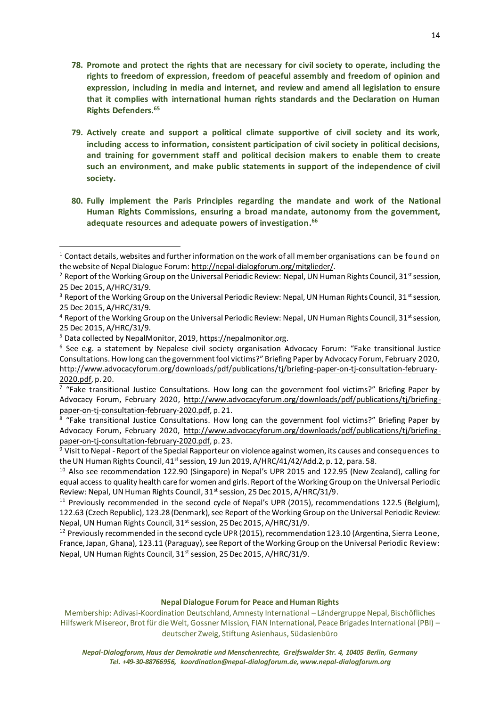- **78. Promote and protect the rights that are necessary for civil society to operate, including the rights to freedom of expression, freedom of peaceful assembly and freedom of opinion and expression, including in media and internet, and review and amend all legislation to ensure that it complies with international human rights standards and the Declaration on Human Rights Defenders.<sup>65</sup>**
- **79. Actively create and support a political climate supportive of civil society and its work, including access to information, consistent participation of civil society in political decisions, and training for government staff and political decision makers to enable them to create such an environment, and make public statements in support of the independence of civil society.**
- **80. Fully implement the Paris Principles regarding the mandate and work of the National Human Rights Commissions, ensuring a broad mandate, autonomy from the government, adequate resources and adequate powers of investigation. 66**

-

<sup>8</sup> "Fake transitional Justice Consultations. How long can the government fool victims?" Briefing Paper by Advocacy Forum, February 2020, h[ttp://www.advocacyforum.org/downloads/pdf/publications/tj/briefing](http://www.advocacyforum.org/downloads/pdf/publications/tj/briefing-paper-on-tj-consultation-february-2020.pdf)[paper-on-tj-consultation-february-2020.pdf,](http://www.advocacyforum.org/downloads/pdf/publications/tj/briefing-paper-on-tj-consultation-february-2020.pdf) p. 23.

<sup>9</sup> Visit to Nepal - Report of the Special Rapporteur on violence against women, its causes and consequences to the UN Human Rights Council,  $41^{st}$  session, 19 Jun 2019, A/HRC/41/42/Add.2, p. 12, para. 58.

<sup>10</sup> Also see recommendation 122.90 (Singapore) in Nepal's UPR 2015 and 122.95 (New Zealand), calling for equal access to quality health care for women and girls. Report of the Working Group on the Universal Periodic Review: Nepal, UN Human Rights Council, 31<sup>st</sup> session, 25 Dec 2015, A/HRC/31/9.

<sup>11</sup> Previously recommended in the second cycle of Nepal's UPR (2015), recommendations 122.5 (Belgium), 122.63 (Czech Republic), 123.28 (Denmark), see Report of the Working Group on the Universal Periodic Review: Nepal, UN Human Rights Council, 31<sup>st</sup> session, 25 Dec 2015, A/HRC/31/9.

<sup>12</sup> Previously recommended in the second cycle UPR (2015), recommendation 123.10 (Argentina, Sierra Leone, France, Japan, Ghana), 123.11 (Paraguay), see Report of the Working Group on the Universal Periodic Review: Nepal, UN Human Rights Council, 31<sup>st</sup> session, 25 Dec 2015, A/HRC/31/9.

### **Nepal Dialogue Forum for Peace and Human Rights**

Membership: Adivasi-Koordination Deutschland, Amnesty International – Ländergruppe Nepal, Bischöfliches Hilfswerk Misereor, Brot für die Welt, Gossner Mission, FIAN International, Peace Brigades International (PBI) – deutscher Zweig, Stiftung Asienhaus, Südasienbüro

<sup>&</sup>lt;sup>1</sup> Contact details, websites and further information on the work of all member organisations can be found on the website of Nepal Dialogue Forum[: http://nepal-dialogforum.org/mitglieder/.](http://nepal-dialogforum.org/mitglieder/)

<sup>&</sup>lt;sup>2</sup> Report of the Working Group on the Universal Periodic Review: Nepal, UN Human Rights Council, 31<sup>st</sup> session, 25 Dec 2015, A/HRC/31/9.

<sup>&</sup>lt;sup>3</sup> Report of the Working Group on the Universal Periodic Review: Nepal, UN Human Rights Council, 31<sup>st</sup> session, 25 Dec 2015, A/HRC/31/9.

 $4$  Report of the Working Group on the Universal Periodic Review: Nepal, UN Human Rights Council, 31st session, 25 Dec 2015, A/HRC/31/9.

<sup>5</sup> Data collected by NepalMonitor, 2019[, https://nepalmonitor.org](https://nepalmonitor.org/).

<sup>&</sup>lt;sup>6</sup> See e.g. a statement by Nepalese civil society organisation Advocacy Forum: "Fake transitional Justice Consultations. How long can the government fool victims?" Briefing Paper by Advocacy Forum, February 2020, [http://www.advocacyforum.org/downloads/pdf/publications/tj/briefing-paper-on-tj-consultation-february-](http://www.advocacyforum.org/downloads/pdf/publications/tj/briefing-paper-on-tj-consultation-february-2020.pdf)[2020.pdf,](http://www.advocacyforum.org/downloads/pdf/publications/tj/briefing-paper-on-tj-consultation-february-2020.pdf) p. 20.

<sup>&</sup>lt;sup>7</sup> "Fake transitional Justice Consultations. How long can the government fool victims?" Briefing Paper by Advocacy Forum, February 2020, h[ttp://www.advocacyforum.org/downloads/pdf/publications/tj/briefing](http://www.advocacyforum.org/downloads/pdf/publications/tj/briefing-paper-on-tj-consultation-february-2020.pdf)[paper-on-tj-consultation-february-2020.pdf,](http://www.advocacyforum.org/downloads/pdf/publications/tj/briefing-paper-on-tj-consultation-february-2020.pdf) p. 21.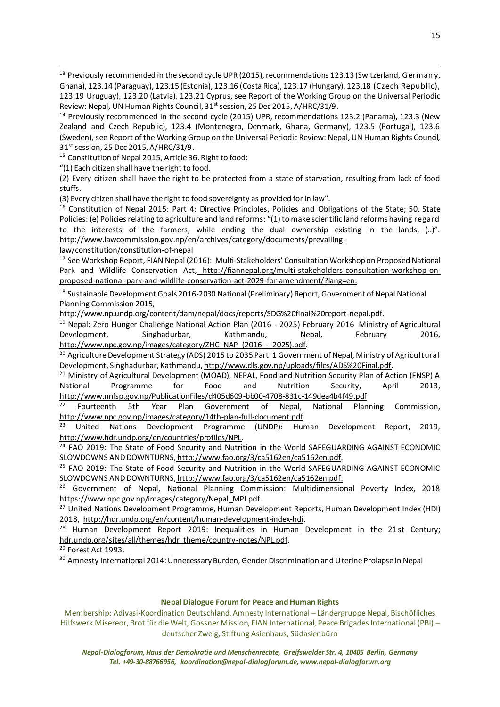<sup>13</sup> Previously recommended in the second cycle UPR (2015), recommendations 123.13 (Switzerland, German y, Ghana), 123.14 (Paraguay), 123.15 (Estonia), 123.16 (Costa Rica), 123.17 (Hungary), 123.18 (Czech Republic), 123.19 Uruguay), 123.20 (Latvia), 123.21 Cyprus, see Report of the Working Group on the Universal Periodic Review: Nepal, UN Human Rights Council, 31<sup>st</sup> session, 25 Dec 2015, A/HRC/31/9.

<sup>14</sup> Previously recommended in the second cycle (2015) UPR, recommendations 123.2 (Panama), 123.3 (New Zealand and Czech Republic), 123.4 (Montenegro, Denmark, Ghana, Germany), 123.5 (Portugal), 123.6 (Sweden), see Report of the Working Group on the Universal Periodic Review: Nepal, UN Human Rights Council, 31st session, 25 Dec 2015, A/HRC/31/9.

<sup>15</sup> Constitution of Nepal 2015, Article 36. Right to food:

"(1) Each citizen shall have the right to food.

-

(2) Every citizen shall have the right to be protected from a state of starvation, resulting from lack of food stuffs.

(3) Every citizen shall have the right to food sovereignty as provided for in law".

<sup>16</sup> Constitution of Nepal 2015: Part 4: Directive Principles, Policies and Obligations of the State; 50. State Policies: (e) Policies relating to agriculture and land reforms: "(1) to make scientific land reforms having regard to the interests of the farmers, while ending the dual ownership existing in the lands, (..)". [http://www.lawcommission.gov.np/en/archives/category/documents/prevailing-](http://www.lawcommission.gov.np/en/archives/category/documents/prevailing-law/constitution/constitution-of-nepal)

[law/constitution/constitution-of-nepal](http://www.lawcommission.gov.np/en/archives/category/documents/prevailing-law/constitution/constitution-of-nepal)

<sup>17</sup> See Workshop Report, FIAN Nepal (2016): Multi-Stakeholders' Consultation Workshop on Proposed National Park and Wildlife Conservation Act, h[ttp://fiannepal.org/multi-stakeholders-consultation-workshop-on](http://fiannepal.org/multi-stakeholders-consultation-workshop-on-proposed-national-park-and-wildlife-conservation-act-2029-for-amendment/?lang=en)[proposed-national-park-and-wildlife-conservation-act-2029-for-amendment/?lang=en.](http://fiannepal.org/multi-stakeholders-consultation-workshop-on-proposed-national-park-and-wildlife-conservation-act-2029-for-amendment/?lang=en)

<sup>18</sup> Sustainable Development Goals 2016-2030 National (Preliminary) Report, Government of Nepal National Planning Commission 2015,

<http://www.np.undp.org/content/dam/nepal/docs/reports/SDG%20final%20report-nepal.pdf>.

<sup>19</sup> Nepal: Zero Hunger Challenge National Action Plan (2016 - 2025) February 2016 Ministry of Agricultural Development, Singhadurbar, Kathmandu, Nepal, February 2016, [http://www.npc.gov.np/images/category/ZHC\\_NAP\\_\(2016\\_-\\_2025\).pdf.](http://www.npc.gov.np/images/category/ZHC_NAP_(2016_-_2025).pdf)

<sup>20</sup> Agriculture Development Strategy (ADS) 2015 to 2035 Part: 1 Government of Nepal, Ministry of Agricultural Development, Singhadurbar, Kathmandu[, http://www.dls.gov.np/uploads/files/ADS%20Final.pdf](http://www.dls.gov.np/uploads/files/ADS%20Final.pdf).

<sup>21</sup> Ministry of Agricultural Development (MOAD), NEPAL, Food and Nutrition Security Plan of Action (FNSP) A National Programme for Food and Nutrition Security, April 2013, <http://www.nnfsp.gov.np/PublicationFiles/d405d609-bb00-4708-831c-149dea4b4f49.pdf>

<sup>22</sup> Fourteenth 5th Year Plan Government of Nepal, National Planning Commission, [http://www.npc.gov.np/images/category/14th-plan-full-document.pdf.](http://www.npc.gov.np/images/category/14th-plan-full-document.pdf)

<sup>23</sup> United Nations Development Programme (UNDP): Human Development Report, 2019, [http://www.hdr.undp.org/en/countries/profiles/NPL.](http://www.hdr.undp.org/en/countries/profiles/NPL)

<sup>24</sup> FAO 2019: The State of Food Security and Nutrition in the World SAFEGUARDING AGAINST ECONOMIC SLOWDOWNS AND DOWNTURNS, <http://www.fao.org/3/ca5162en/ca5162en.pdf>.

<sup>25</sup> FAO 2019: The State of Food Security and Nutrition in the World SAFEGUARDING AGAINST ECONOMIC SLOWDOWNS AND DOWNTURNS, <http://www.fao.org/3/ca5162en/ca5162en.pdf>.

<sup>26</sup> Government of Nepal, National Planning Commission: Multidimensional Poverty Index, 2018 [https://www.npc.gov.np/images/category/Nepal\\_MPI.pdf.](https://www.npc.gov.np/images/category/Nepal_MPI.pdf)

<sup>27</sup> United Nations Development Programme, Human Development Reports, Human Development Index (HDI) 2018, [http://hdr.undp.org/en/content/human-development-index-hdi.](http://hdr.undp.org/en/content/human-development-index-hdi)

 $28$  Human Development Report 2019: Inequalities in Human Development in the 21st Century; [hdr.undp.org/sites/all/themes/hdr\\_theme/country-notes/NPL.pdf.](http://hdr.undp.org/sites/all/themes/hdr_theme/country-notes/NPL.pdf)

<sup>29</sup> Forest Act 1993.

<sup>30</sup> Amnesty International 2014: Unnecessary Burden, Gender Discrimination and Uterine Prolapse in Nepal

### **Nepal Dialogue Forum for Peace and Human Rights**

Membership: Adivasi-Koordination Deutschland, Amnesty International – Ländergruppe Nepal, Bischöfliches Hilfswerk Misereor, Brot für die Welt, Gossner Mission, FIAN International, Peace Brigades International (PBI) – deutscher Zweig, Stiftung Asienhaus, Südasienbüro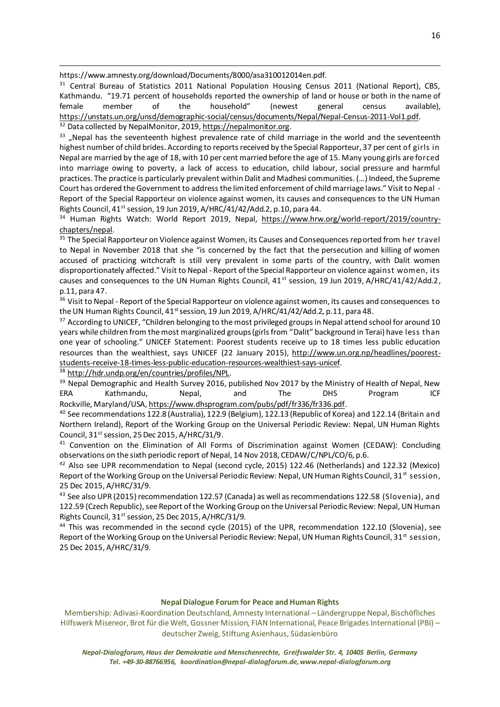https://www.amnesty.org/download/Documents/8000/asa310012014en.pdf.

-

<sup>31</sup> Central Bureau of Statistics 2011 National Population Housing Census 2011 (National Report), CBS, Kathmandu. "19.71 percent of households reported the ownership of land or house or both in the name of female member of the household" (newest general census available), [https://unstats.un.org/unsd/demographic-social/census/documents/Nepal/Nepal-Census-2011-Vol1.pdf.](https://unstats.un.org/unsd/demographic-social/census/documents/Nepal/Nepal-Census-2011-Vol1.pdf) 32 Data collected by NepalMonitor, 2019[, https://nepalmonitor.org](https://nepalmonitor.org/).

<sup>33</sup> "Nepal has the seventeenth highest prevalence rate of child marriage in the world and the seventeenth

highest number of child brides. According to reports received by the Special Rapporteur, 37 per cent of girls in Nepal are married by the age of 18, with 10 per cent married before the age of 15. Many young girls are forced into marriage owing to poverty, a lack of access to education, child labour, social pressure and harmful practices. The practice is particularly prevalent within Dalit and Madhesi communities. (…) Indeed, the Supreme Court has ordered the Government to address the limited enforcement of child marriage laws." Visit to Nepal - Report of the Special Rapporteur on violence against women, its causes and consequences to the UN Human Rights Council,  $41<sup>st</sup>$  session, 19 Jun 2019, A/HRC/41/42/Add.2, p.10, para 44.

<sup>34</sup> Human Rights Watch: World Report 2019, Nepal, [https://www.hrw.org/world-report/2019/country](https://www.hrw.org/world-report/2019/country-chapters/nepal)[chapters/nepal.](https://www.hrw.org/world-report/2019/country-chapters/nepal)

35 The Special Rapporteur on Violence against Women, its Causes and Consequences reported from her travel to Nepal in November 2018 that she "is concerned by the fact that the persecution and killing of women accused of practicing witchcraft is still very prevalent in some parts of the country, with Dalit women disproportionately affected." Visit to Nepal - Report of the Special Rapporteur on violence against women, its causes and consequences to the UN Human Rights Council,  $41^{st}$  session, 19 Jun 2019, A/HRC/41/42/Add.2, p.11, para 47.

<sup>36</sup> Visit to Nepal - Report of the Special Rapporteur on violence against women, its causes and consequences to the UN Human Rights Council,  $41^{st}$  session, 19 Jun 2019, A/HRC/41/42/Add.2, p.11, para 48.

<sup>37</sup> According to UNICEF, "Children belonging to the most privileged groups in Nepal attend school for around 10 years while children from the most marginalized groups (girls from "Dalit" background in Terai) have less than one year of schooling." UNICEF Statement: Poorest students receive up to 18 times less public education resources than the wealthiest, says UNICEF (22 January 2015), [http://www.un.org.np/headlines/poorest](http://www.un.org.np/headlines/poorest-students-receive-18-times-less-public-education-resources-wealthiest-says-unicef)[students-receive-18-times-less-public-education-resources-wealthiest-says-unicef.](http://www.un.org.np/headlines/poorest-students-receive-18-times-less-public-education-resources-wealthiest-says-unicef)

<sup>38</sup> <http://hdr.undp.org/en/countries/profiles/NPL>.

<sup>39</sup> Nepal Demographic and Health Survey 2016, published Nov 2017 by the Ministry of Health of Nepal, New ERA Kathmandu, Nepal, and The DHS Program ICF Rockville, Maryland/USA[, https://www.dhsprogram.com/pubs/pdf/fr336/fr336.pdf.](https://www.dhsprogram.com/pubs/pdf/fr336/fr336.pdf)

<sup>40</sup> See recommendations 122.8 (Australia), 122.9 (Belgium), 122.13 (Republic of Korea) and 122.14 (Britain and Northern Ireland), Report of the Working Group on the Universal Periodic Review: Nepal, UN Human Rights Council,  $31<sup>st</sup>$  session, 25 Dec 2015, A/HRC/31/9.

<sup>41</sup> Convention on the Elimination of All Forms of Discrimination against Women (CEDAW): Concluding observations on the sixth periodic report of Nepal, 14 Nov 2018, CEDAW/C/NPL/CO/6, p.6.

<sup>42</sup> Also see UPR recommendation to Nepal (second cycle, 2015) 122.46 (Netherlands) and 122.32 (Mexico) Report of the Working Group on the Universal Periodic Review: Nepal, UN Human Rights Council, 31<sup>st</sup> session, 25 Dec 2015, A/HRC/31/9.

<sup>43</sup> See also UPR (2015) recommendation 122.57 (Canada) as well as recommendations 122.58 (Slovenia), and 122.59 (Czech Republic), see Report of the Working Group on the Universal Periodic Review: Nepal, UN Human Rights Council,  $31<sup>st</sup>$  session, 25 Dec 2015, A/HRC/31/9.

<sup>44</sup> This was recommended in the second cycle (2015) of the UPR, recommendation 122.10 (Slovenia), see Report of the Working Group on the Universal Periodic Review: Nepal, UN Human Rights Council, 31<sup>st</sup> session, 25 Dec 2015, A/HRC/31/9.

### **Nepal Dialogue Forum for Peace and Human Rights**

Membership: Adivasi-Koordination Deutschland, Amnesty International – Ländergruppe Nepal, Bischöfliches Hilfswerk Misereor, Brot für die Welt, Gossner Mission, FIAN International, Peace Brigades International (PBI) – deutscher Zweig, Stiftung Asienhaus, Südasienbüro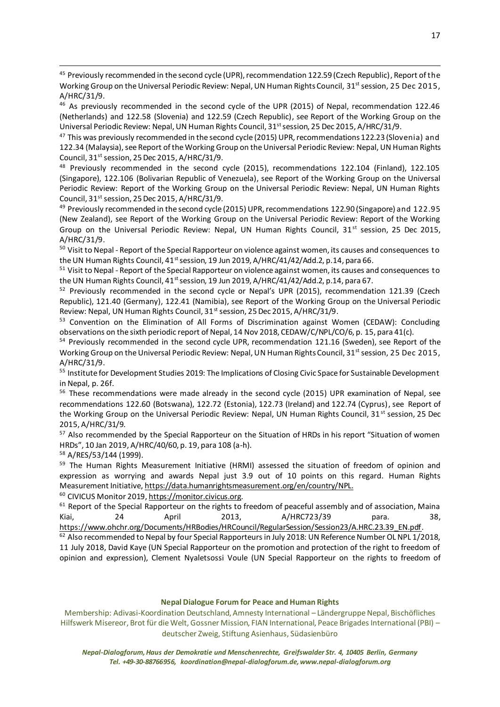-45 Previously recommended in the second cycle (UPR), recommendation 122.59 (Czech Republic), Report of the Working Group on the Universal Periodic Review: Nepal, UN Human Rights Council, 31<sup>st</sup> session, 25 Dec 2015, A/HRC/31/9.

<sup>46</sup> As previously recommended in the second cycle of the UPR (2015) of Nepal, recommendation 122.46 (Netherlands) and 122.58 (Slovenia) and 122.59 (Czech Republic), see Report of the Working Group on the Universal Periodic Review: Nepal, UN Human Rights Council, 31<sup>st</sup> session, 25 Dec 2015, A/HRC/31/9.

<sup>47</sup> This was previously recommended in the second cycle (2015) UPR, recommendations 122.23 (Slovenia) and 122.34 (Malaysia), see Report of the Working Group on the Universal Periodic Review: Nepal, UN Human Rights Council,  $31<sup>st</sup>$  session, 25 Dec 2015, A/HRC/31/9.

<sup>48</sup> Previously recommended in the second cycle (2015), recommendations 122.104 (Finland), 122.105 (Singapore), 122.106 (Bolivarian Republic of Venezuela), see Report of the Working Group on the Universal Periodic Review: Report of the Working Group on the Universal Periodic Review: Nepal, UN Human Rights Council,  $31<sup>st</sup>$  session, 25 Dec 2015, A/HRC/31/9.

<sup>49</sup> Previously recommended in the second cycle (2015) UPR, recommendations 122.90 (Singapore) and 122.95 (New Zealand), see Report of the Working Group on the Universal Periodic Review: Report of the Working Group on the Universal Periodic Review: Nepal, UN Human Rights Council,  $31^{st}$  session, 25 Dec 2015, A/HRC/31/9.

<sup>50</sup> Visit to Nepal - Report of the Special Rapporteur on violence against women, its causes and consequences to the UN Human Rights Council,  $41<sup>st</sup>$  session, 19 Jun 2019, A/HRC/41/42/Add.2, p.14, para 66.

<sup>51</sup> Visit to Nepal - Report of the Special Rapporteur on violence against women, its causes and consequences to the UN Human Rights Council,  $41<sup>st</sup>$  session, 19 Jun 2019, A/HRC/41/42/Add.2, p.14, para 67.

<sup>52</sup> Previously recommended in the second cycle or Nepal's UPR (2015), recommendation 121.39 (Czech Republic), 121.40 (Germany), 122.41 (Namibia), see Report of the Working Group on the Universal Periodic Review: Nepal, UN Human Rights Council, 31<sup>st</sup> session, 25 Dec 2015, A/HRC/31/9.

53 Convention on the Elimination of All Forms of Discrimination against Women (CEDAW): Concluding observations on the sixth periodic report of Nepal, 14 Nov 2018, CEDAW/C/NPL/CO/6, p. 15, para 41(c).

<sup>54</sup> Previously recommended in the second cycle UPR, recommendation 121.16 (Sweden), see Report of the Working Group on the Universal Periodic Review: Nepal, UN Human Rights Council, 31<sup>st</sup> session, 25 Dec 2015, A/HRC/31/9.

<sup>55</sup> Institute for Development Studies 2019: The Implications of Closing Civic Space for Sustainable Development in Nepal, p. 26f.

<sup>56</sup> These recommendations were made already in the second cycle (2015) UPR examination of Nepal, see recommendations 122.60 (Botswana), 122.72 (Estonia), 122.73 (Ireland) and 122.74 (Cyprus), see Report of the Working Group on the Universal Periodic Review: Nepal, UN Human Rights Council, 31<sup>st</sup> session, 25 Dec 2015, A/HRC/31/9.

<sup>57</sup> Also recommended by the Special Rapporteur on the Situation of HRDs in his report "Situation of women HRDs", 10 Jan 2019, A/HRC/40/60, p. 19, para 108 (a-h).

<sup>58</sup> A/RES/53/144 (1999).

<sup>59</sup> The Human Rights Measurement Initiative (HRMI) assessed the situation of freedom of opinion and expression as worrying and awards Nepal just 3.9 out of 10 points on this regard. Human Rights Measurement Initiative[, https://data.humanrightsmeasurement.org/en/country/NPL.](https://data.humanrightsmeasurement.org/en/country/NPL)

<sup>60</sup> CIVICUS Monitor 2019[, https://monitor.civicus.org](https://monitor.civicus.org/).

 $61$  Report of the Special Rapporteur on the rights to freedom of peaceful assembly and of association, Maina Kiai, 24 April 2013, A/HRC723/39 para. 38, [https://www.ohchr.org/Documents/HRBodies/HRCouncil/RegularSession/Session23/A.HRC.23.39\\_EN.pdf.](https://www.ohchr.org/Documents/HRBodies/HRCouncil/RegularSession/Session23/A.HRC.23.39_EN.pdf)

 $62$  Also recommended to Nepal by four Special Rapporteurs in July 2018: UN Reference Number OL NPL 1/2018, 11 July 2018, David Kaye (UN Special Rapporteur on the promotion and protection of the right to freedom of opinion and expression), Clement Nyaletsossi Voule (UN Special Rapporteur on the rights to freedom of

### **Nepal Dialogue Forum for Peace and Human Rights**

Membership: Adivasi-Koordination Deutschland, Amnesty International – Ländergruppe Nepal, Bischöfliches Hilfswerk Misereor, Brot für die Welt, Gossner Mission, FIAN International, Peace Brigades International (PBI) – deutscher Zweig, Stiftung Asienhaus, Südasienbüro